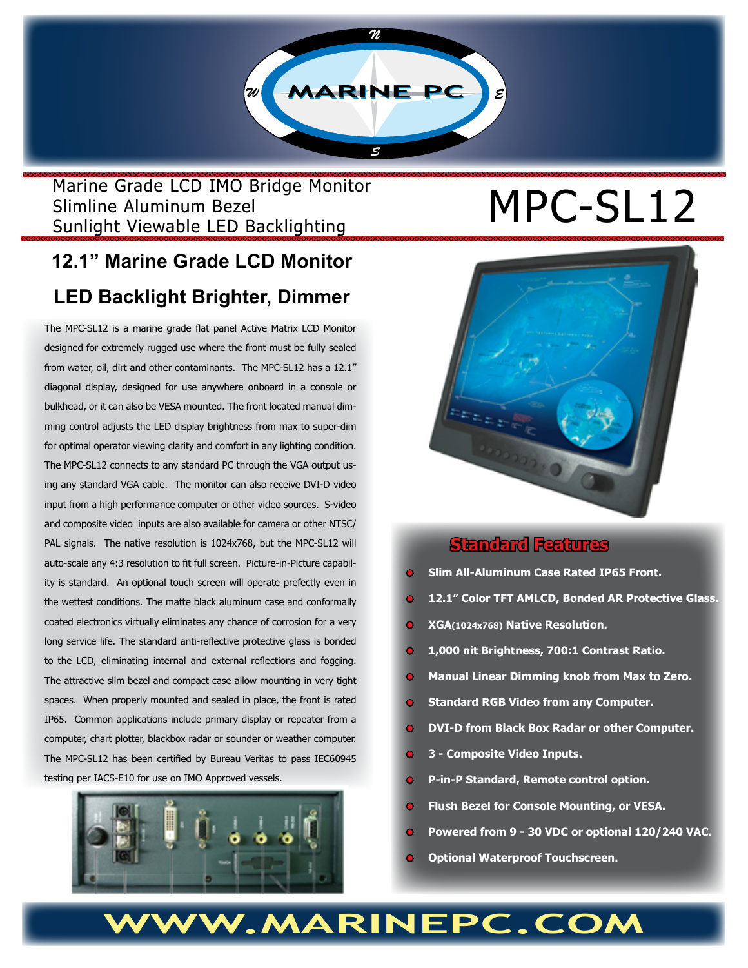

## Marine Grade LCD IMO Bridge Monitor Slimline Aluminum Bezel Slimline Aluminum Bezel<br>
Sunlight Viewable LED Backlighting  $MPC-SL12$

# **12.1" Marine Grade LCD Monitor**

# **LED Backlight Brighter, Dimmer**

The MPC-SL12 is a marine grade flat panel Active Matrix LCD Monitor designed for extremely rugged use where the front must be fully sealed from water, oil, dirt and other contaminants. The MPC-SL12 has a 12.1" diagonal display, designed for use anywhere onboard in a console or bulkhead, or it can also be VESA mounted. The front located manual dimming control adjusts the LED display brightness from max to super-dim for optimal operator viewing clarity and comfort in any lighting condition. The MPC-SL12 connects to any standard PC through the VGA output using any standard VGA cable. The monitor can also receive DVI-D video input from a high performance computer or other video sources. S-video and composite video inputs are also available for camera or other NTSC/ PAL signals. The native resolution is 1024x768, but the MPC-SL12 will auto-scale any 4:3 resolution to fit full screen. Picture-in-Picture capability is standard. An optional touch screen will operate prefectly even in the wettest conditions. The matte black aluminum case and conformally coated electronics virtually eliminates any chance of corrosion for a very long service life. The standard anti-reflective protective glass is bonded to the LCD, eliminating internal and external reflections and fogging. The attractive slim bezel and compact case allow mounting in very tight spaces. When properly mounted and sealed in place, the front is rated IP65. Common applications include primary display or repeater from a computer, chart plotter, blackbox radar or sounder or weather computer. The MPC-SL12 has been certified by Bureau Veritas to pass IEC60945 testing per IACS-E10 for use on IMO Approved vessels.





### **Standard Features**

- **• Slim All-Aluminum Case Rated IP65 Front.**
- **• 12.1" Color TFT AMLCD, Bonded AR Protective Glass.**
- **• XGA(1024x768) Native Resolution.**
- **1,000 nit Brightness, 700:1 Contrast Ratio.**
- **Manual Linear Dimming knob from Max to Zero.**
- **• Standard RGB Video from any Computer.**
- **• DVI-D from Black Box Radar or other Computer.**
- **• 3 Composite Video Inputs.**
- **• P-in-P Standard, Remote control option.**
- **• Flush Bezel for Console Mounting, or VESA.**
- **• Powered from 9 30 VDC or optional 120/240 VAC.**
- **• Optional Waterproof Touchscreen.**

# W.MARINEPC.COM